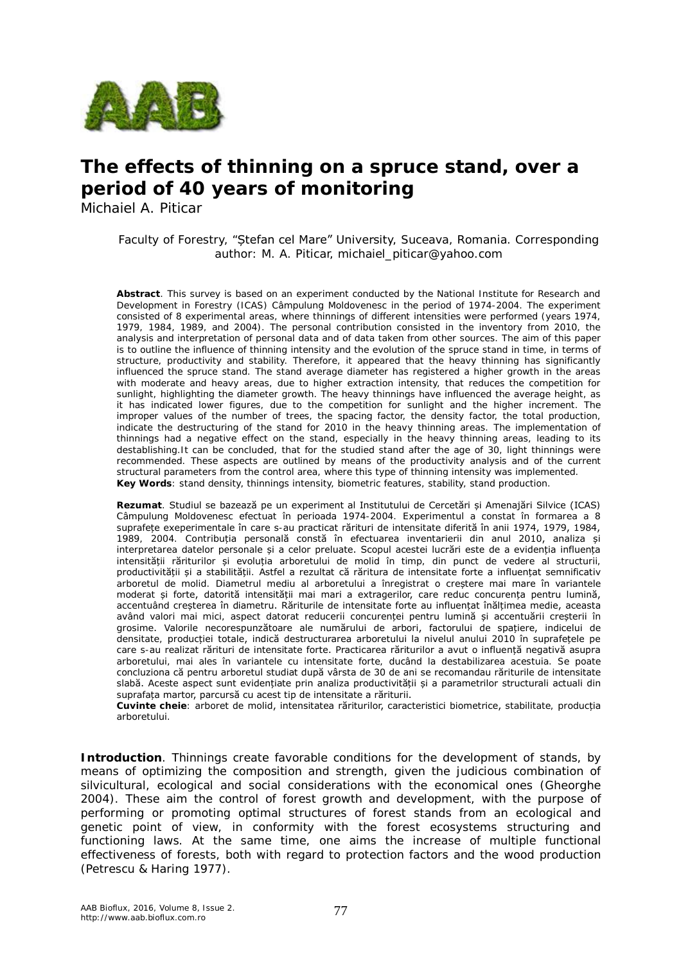

# **The effects of thinning on a spruce stand, over a period of 40 years of monitoring**

Michaiel A. Piticar

Faculty of Forestry, "Ștefan cel Mare" University, Suceava, Romania. Corresponding author: M. A. Piticar, michaiel piticar@yahoo.com

**Abstract**. This survey is based on an experiment conducted by the National Institute for Research and Development in Forestry (ICAS) Câmpulung Moldovenesc in the period of 1974-2004. The experiment consisted of 8 experimental areas, where thinnings of different intensities were performed (years 1974, 1979, 1984, 1989, and 2004). The personal contribution consisted in the inventory from 2010, the analysis and interpretation of personal data and of data taken from other sources. The aim of this paper is to outline the influence of thinning intensity and the evolution of the spruce stand in time, in terms of structure, productivity and stability. Therefore, it appeared that the heavy thinning has significantly influenced the spruce stand. The stand average diameter has registered a higher growth in the areas with moderate and heavy areas, due to higher extraction intensity, that reduces the competition for sunlight, highlighting the diameter growth. The heavy thinnings have influenced the average height, as it has indicated lower figures, due to the competition for sunlight and the higher increment. The improper values of the number of trees, the spacing factor, the density factor, the total production, indicate the destructuring of the stand for 2010 in the heavy thinning areas. The implementation of thinnings had a negative effect on the stand, especially in the heavy thinning areas, leading to its destablishing.It can be concluded, that for the studied stand after the age of 30, light thinnings were recommended. These aspects are outlined by means of the productivity analysis and of the current structural parameters from the control area, where this type of thinning intensity was implemented. **Key Words**: stand density, thinnings intensity, biometric features, stability, stand production.

**Rezumat**. Studiul se bazează pe un experiment al Institutului de Cercetări și Amenajări Silvice (ICAS) Câmpulung Moldovenesc efectuat în perioada 1974-2004. Experimentul a constat în formarea a 8 suprafețe exeperimentale în care s-au practicat rărituri de intensitate diferită în anii 1974, 1979, 1984, 1989, 2004. Contribuția personală constă în efectuarea inventarierii din anul 2010, analiza și interpretarea datelor personale și a celor preluate. Scopul acestei lucrări este de a evidenția influența intensității răriturilor și evoluția arboretului de molid în timp, din punct de vedere al structurii, productivității și a stabilității. Astfel a rezultat că răritura de intensitate forte a influențat semnificativ arboretul de molid. Diametrul mediu al arboretului a înregistrat o creștere mai mare în variantele moderat și forte, datorită intensității mai mari a extragerilor, care reduc concurența pentru lumină, accentuând creșterea în diametru. Răriturile de intensitate forte au influențat înălțimea medie, aceasta având valori mai mici, aspect datorat reducerii concurenței pentru lumină și accentuării creșterii în grosime. Valorile necorespunzătoare ale numărului de arbori, factorului de spațiere, indicelui de densitate, producției totale, indică destructurarea arboretului la nivelul anului 2010 în suprafețele pe care s-au realizat rărituri de intensitate forte. Practicarea răriturilor a avut o influență negativă asupra arboretului, mai ales în variantele cu intensitate forte, ducând la destabilizarea acestuia. Se poate concluziona că pentru arboretul studiat după vârsta de 30 de ani se recomandau răriturile de intensitate slabă. Aceste aspect sunt evidențiate prin analiza productivității și a parametrilor structurali actuali din suprafața martor, parcursă cu acest tip de intensitate a răriturii.

**Cuvinte cheie**: arboret de molid, intensitatea răriturilor, caracteristici biometrice, stabilitate, producția arboretului.

**Introduction**. Thinnings create favorable conditions for the development of stands, by means of optimizing the composition and strength, given the judicious combination of silvicultural, ecological and social considerations with the economical ones (Gheorghe 2004). These aim the control of forest growth and development, with the purpose of performing or promoting optimal structures of forest stands from an ecological and genetic point of view, in conformity with the forest ecosystems structuring and functioning laws. At the same time, one aims the increase of multiple functional effectiveness of forests, both with regard to protection factors and the wood production (Petrescu & Haring 1977).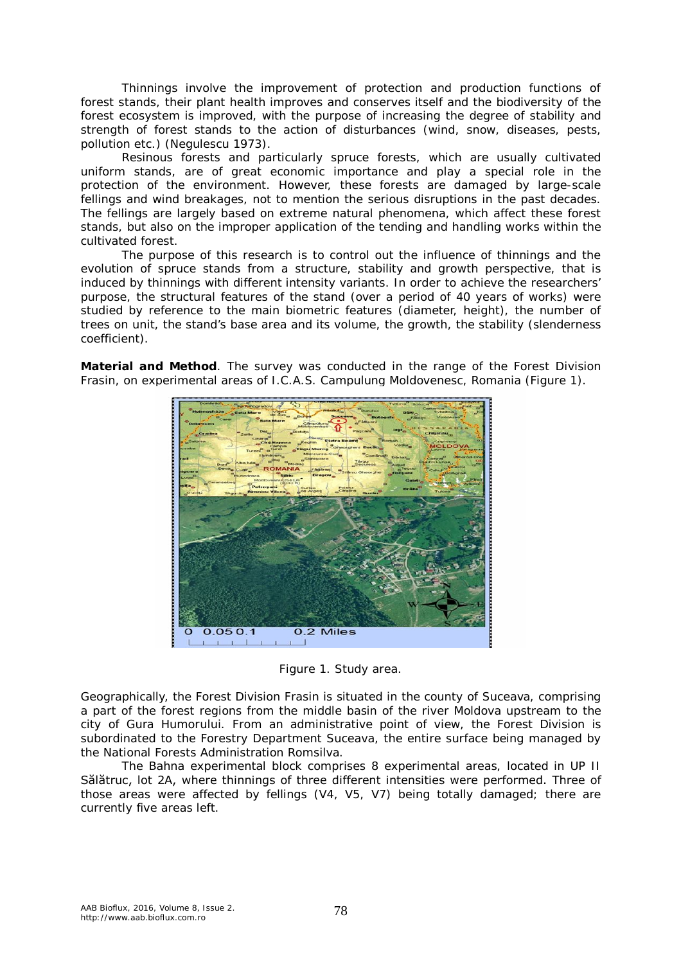Thinnings involve the improvement of protection and production functions of forest stands, their plant health improves and conserves itself and the biodiversity of the forest ecosystem is improved, with the purpose of increasing the degree of stability and strength of forest stands to the action of disturbances (wind, snow, diseases, pests, pollution etc.) (Negulescu 1973).

Resinous forests and particularly spruce forests, which are usually cultivated uniform stands, are of great economic importance and play a special role in the protection of the environment. However, these forests are damaged by large-scale fellings and wind breakages, not to mention the serious disruptions in the past decades. The fellings are largely based on extreme natural phenomena, which affect these forest stands, but also on the improper application of the tending and handling works within the cultivated forest.

The purpose of this research is to control out the influence of thinnings and the evolution of spruce stands from a structure, stability and growth perspective, that is induced by thinnings with different intensity variants. In order to achieve the researchers' purpose, the structural features of the stand (over a period of 40 years of works) were studied by reference to the main biometric features (diameter, height), the number of trees on unit, the stand's base area and its volume, the growth, the stability (slenderness coefficient).

**Material and Method**. The survey was conducted in the range of the Forest Division Frasin, on experimental areas of I.C.A.S. Campulung Moldovenesc, Romania (Figure 1).



Figure 1. Study area.

Geographically, the Forest Division Frasin is situated in the county of Suceava, comprising a part of the forest regions from the middle basin of the river Moldova upstream to the city of Gura Humorului. From an administrative point of view, the Forest Division is subordinated to the Forestry Department Suceava, the entire surface being managed by the National Forests Administration Romsilva.

The Bahna experimental block comprises 8 experimental areas, located in UP II Sălătruc, lot 2A, where thinnings of three different intensities were performed. Three of those areas were affected by fellings (V4, V5, V7) being totally damaged; there are currently five areas left.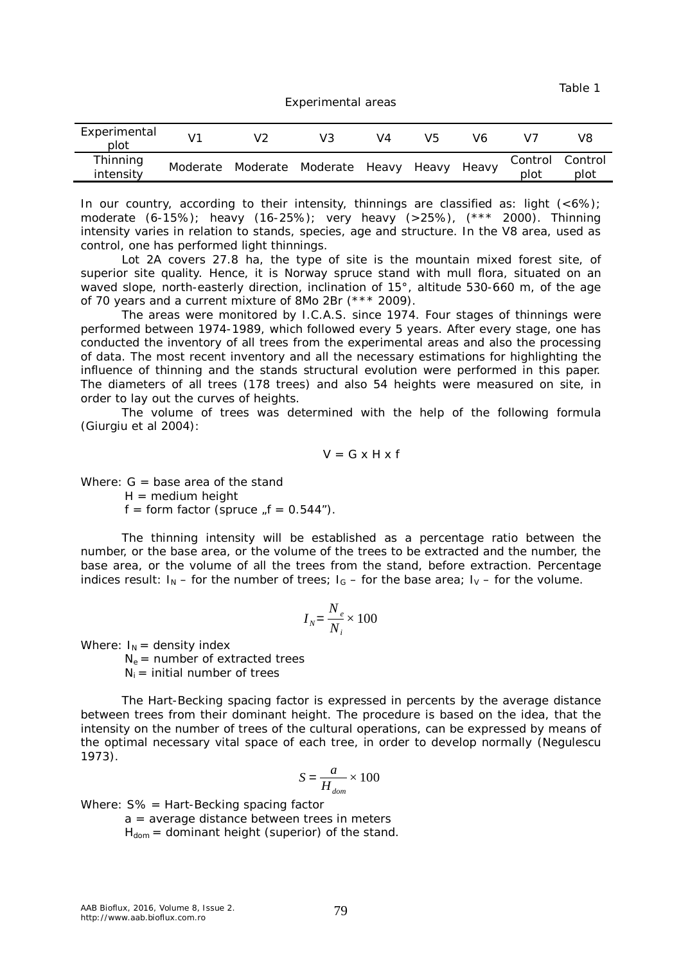Table 1

#### Experimental areas

| Experimental<br>plot  | $V^{\tau}$ |                               | V4 | V5 | V6    |                 | V8              |
|-----------------------|------------|-------------------------------|----|----|-------|-----------------|-----------------|
| Thinning<br>intensity | Moderate   | Moderate Moderate Heavy Heavy |    |    | Heavv | Control<br>plot | Control<br>plot |

In our country, according to their intensity, thinnings are classified as: light (<6%); moderate (6-15%); heavy (16-25%); very heavy (>25%), (\*\*\* 2000). Thinning intensity varies in relation to stands, species, age and structure. In the V8 area, used as control, one has performed light thinnings.

Lot 2A covers 27.8 ha, the type of site is the mountain mixed forest site, of superior site quality. Hence, it is Norway spruce stand with mull flora, situated on an waved slope, north-easterly direction, inclination of 15°, altitude 530-660 m, of the age of 70 years and a current mixture of 8Mo 2Br (\*\*\* 2009).

The areas were monitored by I.C.A.S. since 1974. Four stages of thinnings were performed between 1974-1989, which followed every 5 years. After every stage, one has conducted the inventory of all trees from the experimental areas and also the processing of data. The most recent inventory and all the necessary estimations for highlighting the influence of thinning and the stands structural evolution were performed in this paper. The diameters of all trees (178 trees) and also 54 heights were measured on site, in order to lay out the curves of heights.

The volume of trees was determined with the help of the following formula (Giurgiu et al 2004):

$$
V = G \times H \times f
$$

Where:  $G =$  base area of the stand

 $H = \text{medium height}$ 

 $f = form factor (spruce , f = 0.544'').$ 

The thinning intensity will be established as a percentage ratio between the number, or the base area, or the volume of the trees to be extracted and the number, the base area, or the volume of all the trees from the stand, before extraction. Percentage indices result:  $I_N$  – for the number of trees;  $I_G$  – for the base area;  $I_V$  – for the volume.

$$
I_N = \frac{N_e}{N_i} \times 100
$$

Where:  $I_N$  = density index

 $N_e$  = number of extracted trees

 $N_i$  = initial number of trees

The Hart-Becking spacing factor is expressed in percents by the average distance between trees from their dominant height. The procedure is based on the idea, that the intensity on the number of trees of the cultural operations, can be expressed by means of the optimal necessary vital space of each tree, in order to develop normally (Negulescu 1973).

$$
S = \frac{a}{H_{\text{dom}}} \times 100
$$

Where: S% = Hart-Becking spacing factor

a = average distance between trees in meters

 $H_{dom} =$  dominant height (superior) of the stand.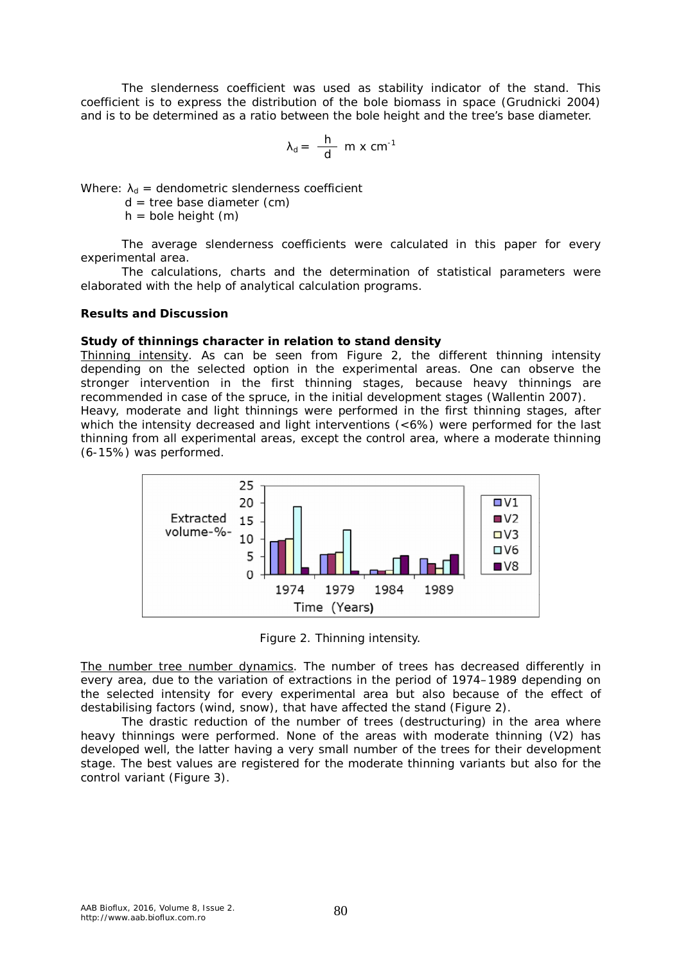The slenderness coefficient was used as stability indicator of the stand. This coefficient is to express the distribution of the bole biomass in space (Grudnicki 2004) and is to be determined as a ratio between the bole height and the tree's base diameter.

$$
\lambda_d = \frac{h}{d} \, m \times cm^{-1}
$$

Where:  $\lambda_d$  = dendometric slenderness coefficient

 $d =$  tree base diameter (cm)

 $h =$  bole height  $(m)$ 

The average slenderness coefficients were calculated in this paper for every experimental area.

The calculations, charts and the determination of statistical parameters were elaborated with the help of analytical calculation programs.

### **Results and Discussion**

### *Study of thinnings character in relation to stand density*

Thinning intensity. As can be seen from Figure 2, the different thinning intensity depending on the selected option in the experimental areas. One can observe the stronger intervention in the first thinning stages, because heavy thinnings are recommended in case of the spruce, in the initial development stages (Wallentin 2007).

Heavy, moderate and light thinnings were performed in the first thinning stages, after which the intensity decreased and light interventions (<6%) were performed for the last thinning from all experimental areas, except the control area, where a moderate thinning (6-15%) was performed.



Figure 2. Thinning intensity.

The number tree number dynamics. The number of trees has decreased differently in every area, due to the variation of extractions in the period of 1974–1989 depending on the selected intensity for every experimental area but also because of the effect of destabilising factors (wind, snow), that have affected the stand (Figure 2).

The drastic reduction of the number of trees (destructuring) in the area where heavy thinnings were performed. None of the areas with moderate thinning (V2) has developed well, the latter having a very small number of the trees for their development stage. The best values are registered for the moderate thinning variants but also for the control variant (Figure 3).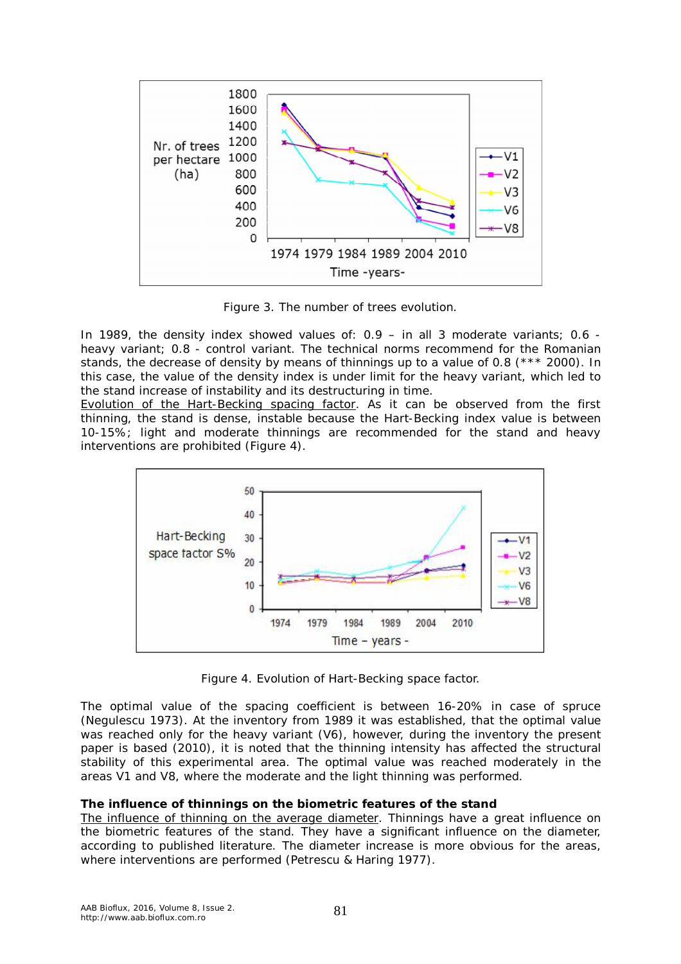

Figure 3. The number of trees evolution.

In 1989, the density index showed values of: 0.9 – in all 3 moderate variants; 0.6 heavy variant; 0.8 - control variant. The technical norms recommend for the Romanian stands, the decrease of density by means of thinnings up to a value of 0.8 (\*\*\* 2000). In this case, the value of the density index is under limit for the heavy variant, which led to the stand increase of instability and its destructuring in time.

Evolution of the Hart-Becking spacing factor. As it can be observed from the first thinning, the stand is dense, instable because the Hart-Becking index value is between 10-15%; light and moderate thinnings are recommended for the stand and heavy interventions are prohibited (Figure 4).



Figure 4. Evolution of Hart-Becking space factor.

The optimal value of the spacing coefficient is between 16-20% in case of spruce (Negulescu 1973). At the inventory from 1989 it was established, that the optimal value was reached only for the heavy variant (V6), however, during the inventory the present paper is based (2010), it is noted that the thinning intensity has affected the structural stability of this experimental area. The optimal value was reached moderately in the areas V1 and V8, where the moderate and the light thinning was performed.

## *The influence of thinnings on the biometric features of the stand*

The influence of thinning on the average diameter. Thinnings have a great influence on the biometric features of the stand. They have a significant influence on the diameter, according to published literature. The diameter increase is more obvious for the areas, where interventions are performed (Petrescu & Haring 1977).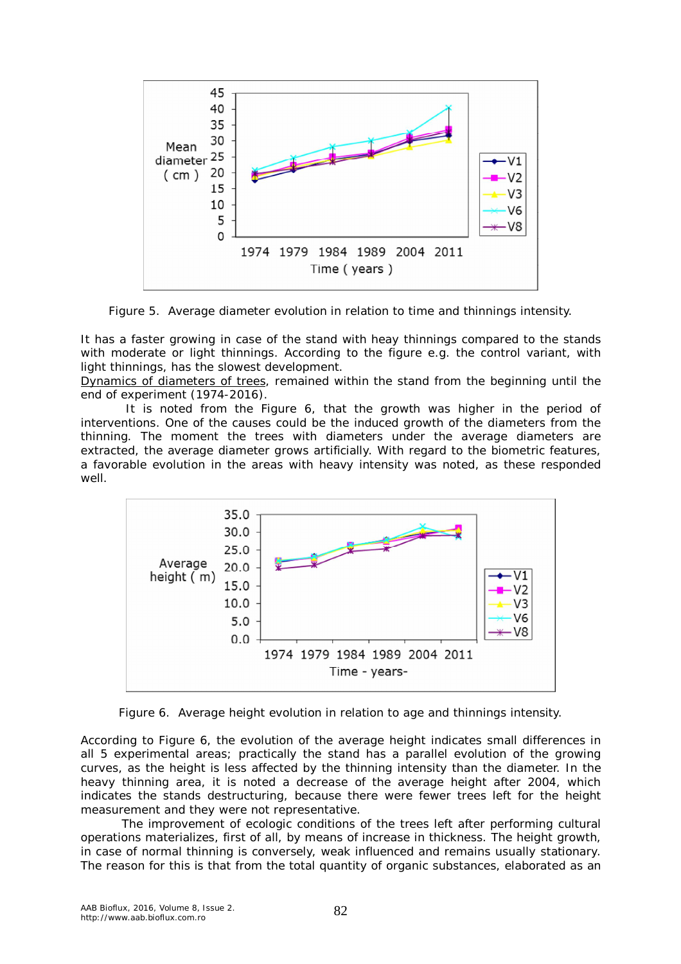

Figure 5. Average diameter evolution in relation to time and thinnings intensity.

It has a faster growing in case of the stand with heay thinnings compared to the stands with moderate or light thinnings. According to the figure e.g. the control variant, with light thinnings, has the slowest development.

Dynamics of diameters of trees, remained within the stand from the beginning until the end of experiment (1974-2016).

 It is noted from the Figure 6, that the growth was higher in the period of interventions. One of the causes could be the induced growth of the diameters from the thinning. The moment the trees with diameters under the average diameters are extracted, the average diameter grows artificially. With regard to the biometric features, a favorable evolution in the areas with heavy intensity was noted, as these responded well.



Figure 6. Average height evolution in relation to age and thinnings intensity.

According to Figure 6, the evolution of the average height indicates small differences in all 5 experimental areas; practically the stand has a parallel evolution of the growing curves, as the height is less affected by the thinning intensity than the diameter. In the heavy thinning area, it is noted a decrease of the average height after 2004, which indicates the stands destructuring, because there were fewer trees left for the height measurement and they were not representative.

The improvement of ecologic conditions of the trees left after performing cultural operations materializes, first of all, by means of increase in thickness. The height growth, in case of normal thinning is conversely, weak influenced and remains usually stationary. The reason for this is that from the total quantity of organic substances, elaborated as an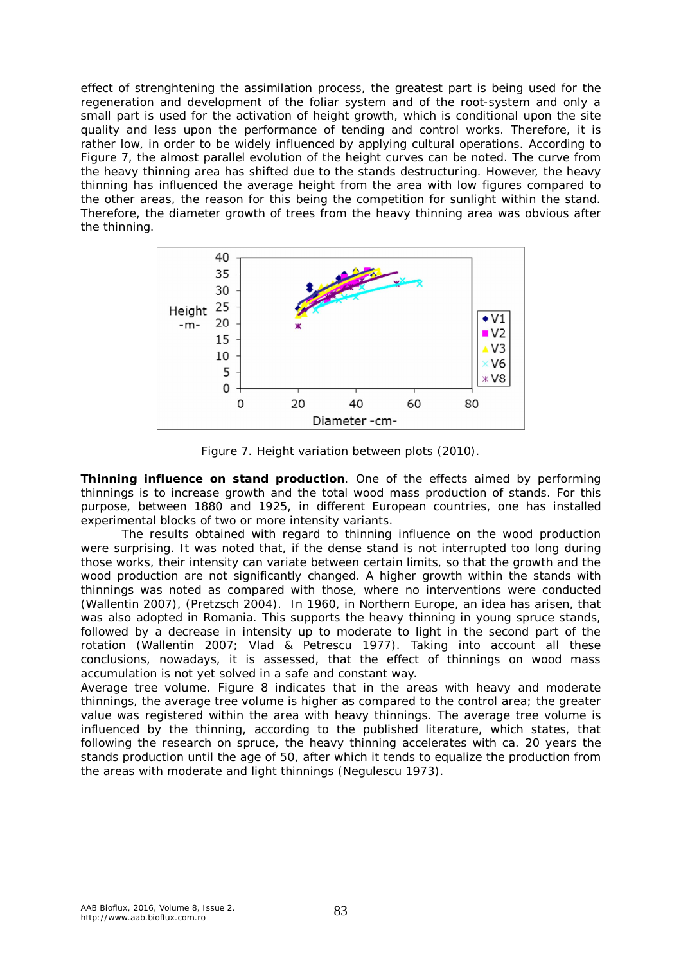effect of strenghtening the assimilation process, the greatest part is being used for the regeneration and development of the foliar system and of the root-system and only a small part is used for the activation of height growth, which is conditional upon the site quality and less upon the performance of tending and control works. Therefore, it is rather low, in order to be widely influenced by applying cultural operations. According to Figure 7, the almost parallel evolution of the height curves can be noted. The curve from the heavy thinning area has shifted due to the stands destructuring. However, the heavy thinning has influenced the average height from the area with low figures compared to the other areas, the reason for this being the competition for sunlight within the stand. Therefore, the diameter growth of trees from the heavy thinning area was obvious after the thinning.



Figure 7. Height variation between plots (2010).

*Thinning influence on stand production*. One of the effects aimed by performing thinnings is to increase growth and the total wood mass production of stands. For this purpose, between 1880 and 1925, in different European countries, one has installed experimental blocks of two or more intensity variants.

The results obtained with regard to thinning influence on the wood production were surprising. It was noted that, if the dense stand is not interrupted too long during those works, their intensity can variate between certain limits, so that the growth and the wood production are not significantly changed. A higher growth within the stands with thinnings was noted as compared with those, where no interventions were conducted (Wallentin 2007), (Pretzsch 2004). In 1960, in Northern Europe, an idea has arisen, that was also adopted in Romania. This supports the heavy thinning in young spruce stands, followed by a decrease in intensity up to moderate to light in the second part of the rotation (Wallentin 2007; Vlad & Petrescu 1977). Taking into account all these conclusions, nowadays, it is assessed, that the effect of thinnings on wood mass accumulation is not yet solved in a safe and constant way.

Average tree volume. Figure 8 indicates that in the areas with heavy and moderate thinnings, the average tree volume is higher as compared to the control area; the greater value was registered within the area with heavy thinnings. The average tree volume is influenced by the thinning, according to the published literature, which states, that following the research on spruce, the heavy thinning accelerates with ca. 20 years the stands production until the age of 50, after which it tends to equalize the production from the areas with moderate and light thinnings (Negulescu 1973).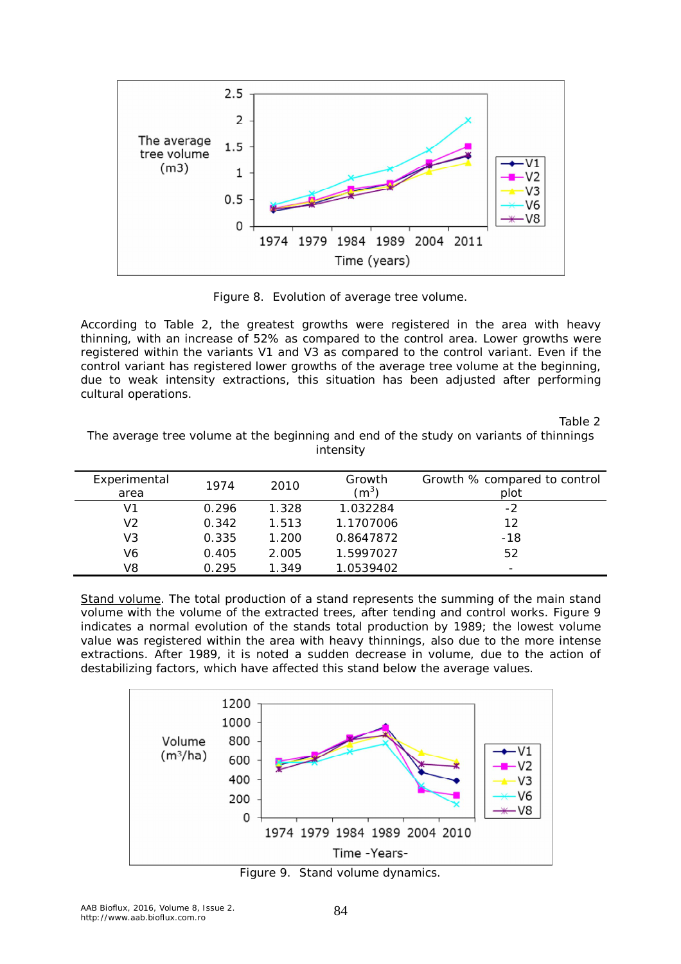

Figure 8. Evolution of average tree volume.

According to Table 2, the greatest growths were registered in the area with heavy thinning, with an increase of 52% as compared to the control area. Lower growths were registered within the variants V1 and V3 as compared to the control variant. Even if the control variant has registered lower growths of the average tree volume at the beginning, due to weak intensity extractions, this situation has been adjusted after performing cultural operations.

Table 2

The average tree volume at the beginning and end of the study on variants of thinnings intensity

| Experimental<br>area | 1974  | 2010  | Growth<br>$(m^3)$ | Growth % compared to control<br>plot |
|----------------------|-------|-------|-------------------|--------------------------------------|
| V1                   | 0.296 | 1.328 | 1.032284          | -2                                   |
| V2                   | 0.342 | 1.513 | 1.1707006         | 12                                   |
| V3                   | 0.335 | 1.200 | 0.8647872         | $-18$                                |
| V6                   | 0.405 | 2.005 | 1.5997027         | 52                                   |
| V8                   | 0.295 | 1.349 | 1.0539402         | -                                    |

Stand volume. The total production of a stand represents the summing of the main stand volume with the volume of the extracted trees, after tending and control works. Figure 9 indicates a normal evolution of the stands total production by 1989; the lowest volume value was registered within the area with heavy thinnings, also due to the more intense extractions. After 1989, it is noted a sudden decrease in volume, due to the action of destabilizing factors, which have affected this stand below the average values.



Figure 9. Stand volume dynamics.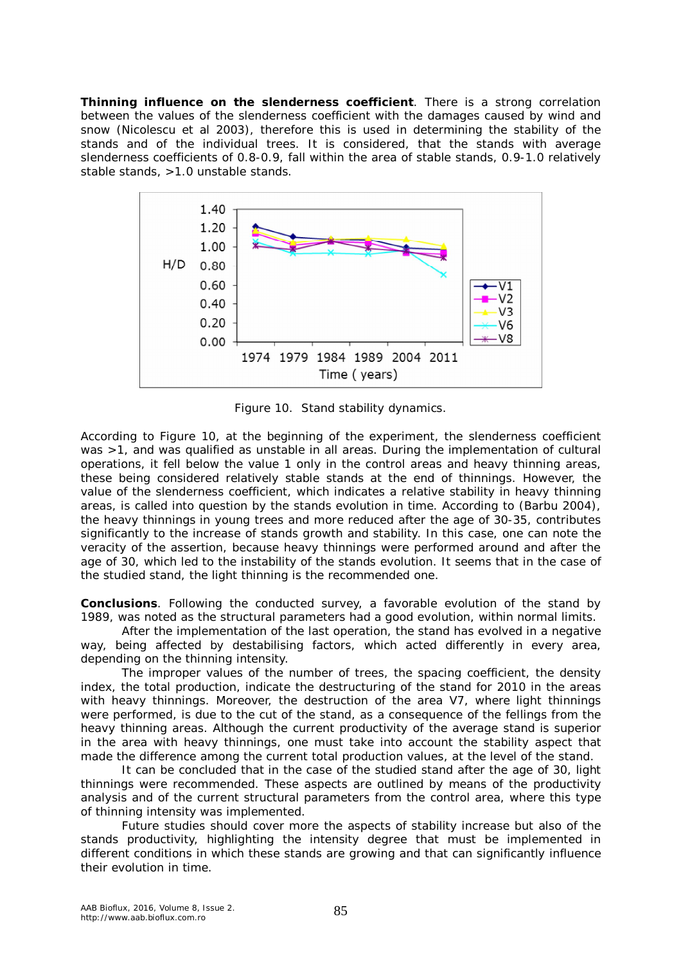*Thinning influence on the slenderness coefficient*. There is a strong correlation between the values of the slenderness coefficient with the damages caused by wind and snow (Nicolescu et al 2003), therefore this is used in determining the stability of the stands and of the individual trees. It is considered, that the stands with average slenderness coefficients of 0.8-0.9, fall within the area of stable stands, 0.9-1.0 relatively stable stands, >1.0 unstable stands.



Figure 10. Stand stability dynamics.

According to Figure 10, at the beginning of the experiment, the slenderness coefficient was >1, and was qualified as unstable in all areas. During the implementation of cultural operations, it fell below the value 1 only in the control areas and heavy thinning areas, these being considered relatively stable stands at the end of thinnings. However, the value of the slenderness coefficient, which indicates a relative stability in heavy thinning areas, is called into question by the stands evolution in time. According to (Barbu 2004), the heavy thinnings in young trees and more reduced after the age of 30-35, contributes significantly to the increase of stands growth and stability. In this case, one can note the veracity of the assertion, because heavy thinnings were performed around and after the age of 30, which led to the instability of the stands evolution. It seems that in the case of the studied stand, the light thinning is the recommended one.

**Conclusions**. Following the conducted survey, a favorable evolution of the stand by 1989, was noted as the structural parameters had a good evolution, within normal limits.

After the implementation of the last operation, the stand has evolved in a negative way, being affected by destabilising factors, which acted differently in every area, depending on the thinning intensity.

The improper values of the number of trees, the spacing coefficient, the density index, the total production, indicate the destructuring of the stand for 2010 in the areas with heavy thinnings. Moreover, the destruction of the area V7, where light thinnings were performed, is due to the cut of the stand, as a consequence of the fellings from the heavy thinning areas. Although the current productivity of the average stand is superior in the area with heavy thinnings, one must take into account the stability aspect that made the difference among the current total production values, at the level of the stand.

It can be concluded that in the case of the studied stand after the age of 30, light thinnings were recommended. These aspects are outlined by means of the productivity analysis and of the current structural parameters from the control area, where this type of thinning intensity was implemented.

Future studies should cover more the aspects of stability increase but also of the stands productivity, highlighting the intensity degree that must be implemented in different conditions in which these stands are growing and that can significantly influence their evolution in time.